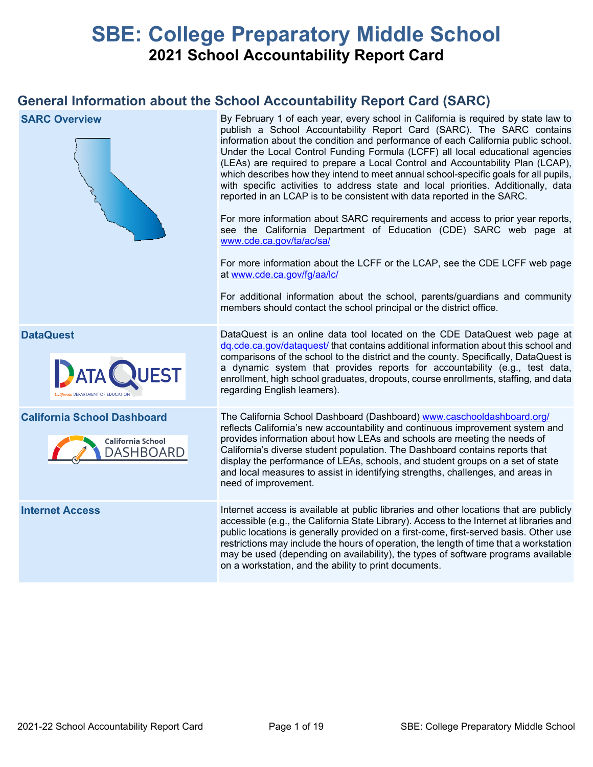# **SBE: College Preparatory Middle School 2021 School Accountability Report Card**

## **General Information about the School Accountability Report Card (SARC)**

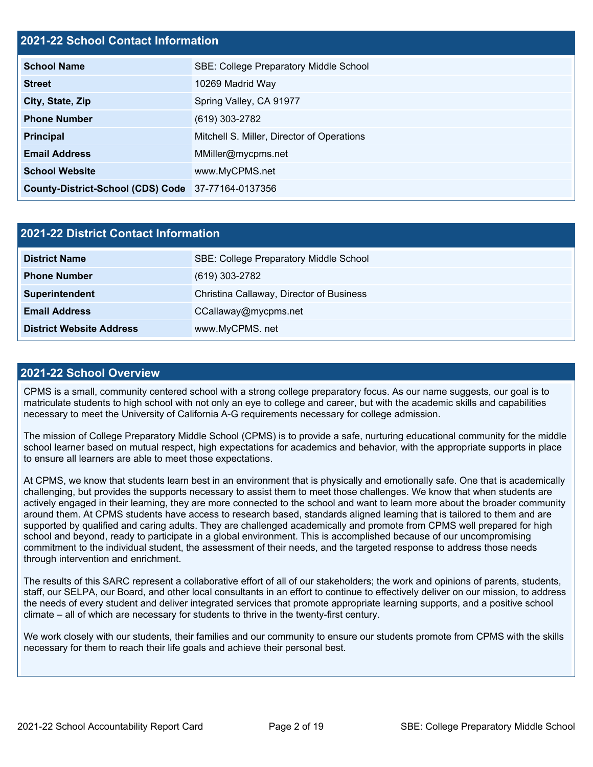## **2021-22 School Contact Information**

| <b>School Name</b>                                 | <b>SBE: College Preparatory Middle School</b> |  |  |  |
|----------------------------------------------------|-----------------------------------------------|--|--|--|
| <b>Street</b>                                      | 10269 Madrid Way                              |  |  |  |
| City, State, Zip                                   | Spring Valley, CA 91977                       |  |  |  |
| <b>Phone Number</b>                                | (619) 303-2782                                |  |  |  |
| <b>Principal</b>                                   | Mitchell S. Miller, Director of Operations    |  |  |  |
| <b>Email Address</b>                               | MMiller@mycpms.net                            |  |  |  |
| <b>School Website</b>                              | www.MyCPMS.net                                |  |  |  |
| County-District-School (CDS) Code 37-77164-0137356 |                                               |  |  |  |

| 2021-22 District Contact Information |                                               |  |  |
|--------------------------------------|-----------------------------------------------|--|--|
| <b>District Name</b>                 | <b>SBE: College Preparatory Middle School</b> |  |  |
| <b>Phone Number</b>                  | (619) 303-2782                                |  |  |
| Superintendent                       | Christina Callaway, Director of Business      |  |  |
| <b>Email Address</b>                 | CCallaway@mycpms.net                          |  |  |
| <b>District Website Address</b>      | www.MyCPMS.net                                |  |  |

## **2021-22 School Overview**

CPMS is a small, community centered school with a strong college preparatory focus. As our name suggests, our goal is to matriculate students to high school with not only an eye to college and career, but with the academic skills and capabilities necessary to meet the University of California A-G requirements necessary for college admission.

The mission of College Preparatory Middle School (CPMS) is to provide a safe, nurturing educational community for the middle school learner based on mutual respect, high expectations for academics and behavior, with the appropriate supports in place to ensure all learners are able to meet those expectations.

At CPMS, we know that students learn best in an environment that is physically and emotionally safe. One that is academically challenging, but provides the supports necessary to assist them to meet those challenges. We know that when students are actively engaged in their learning, they are more connected to the school and want to learn more about the broader community around them. At CPMS students have access to research based, standards aligned learning that is tailored to them and are supported by qualified and caring adults. They are challenged academically and promote from CPMS well prepared for high school and beyond, ready to participate in a global environment. This is accomplished because of our uncompromising commitment to the individual student, the assessment of their needs, and the targeted response to address those needs through intervention and enrichment.

The results of this SARC represent a collaborative effort of all of our stakeholders; the work and opinions of parents, students, staff, our SELPA, our Board, and other local consultants in an effort to continue to effectively deliver on our mission, to address the needs of every student and deliver integrated services that promote appropriate learning supports, and a positive school climate – all of which are necessary for students to thrive in the twenty-first century.

We work closely with our students, their families and our community to ensure our students promote from CPMS with the skills necessary for them to reach their life goals and achieve their personal best.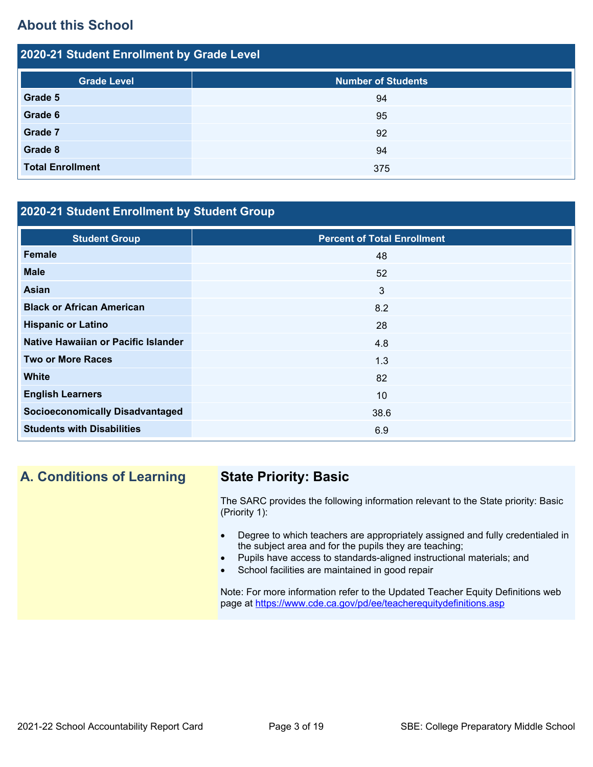## **About this School**

2021-22 Student Enrollment by Grade Level

| 2020-21 Student Enrollment by Grade Level |                           |  |  |  |
|-------------------------------------------|---------------------------|--|--|--|
| <b>Grade Level</b>                        | <b>Number of Students</b> |  |  |  |
| Grade 5                                   | 94                        |  |  |  |
| Grade 6                                   | 95                        |  |  |  |
| <b>Grade 7</b>                            | 92                        |  |  |  |
| Grade 8                                   | 94                        |  |  |  |
| <b>Total Enrollment</b>                   | 375                       |  |  |  |

## **2020-21 Student Enrollment by Student Group**

| <b>Student Group</b>                   | <b>Percent of Total Enrollment</b> |
|----------------------------------------|------------------------------------|
| Female                                 | 48                                 |
| <b>Male</b>                            | 52                                 |
| <b>Asian</b>                           | $\mathbf{3}$                       |
| <b>Black or African American</b>       | 8.2                                |
| <b>Hispanic or Latino</b>              | 28                                 |
| Native Hawaiian or Pacific Islander    | 4.8                                |
| <b>Two or More Races</b>               | 1.3                                |
| <b>White</b>                           | 82                                 |
| <b>English Learners</b>                | 10                                 |
| <b>Socioeconomically Disadvantaged</b> | 38.6                               |
| <b>Students with Disabilities</b>      | 6.9                                |

## **A. Conditions of Learning State Priority: Basic**

The SARC provides the following information relevant to the State priority: Basic (Priority 1):

- Degree to which teachers are appropriately assigned and fully credentialed in the subject area and for the pupils they are teaching;
- Pupils have access to standards-aligned instructional materials; and
- School facilities are maintained in good repair

Note: For more information refer to the Updated Teacher Equity Definitions web page at <https://www.cde.ca.gov/pd/ee/teacherequitydefinitions.asp>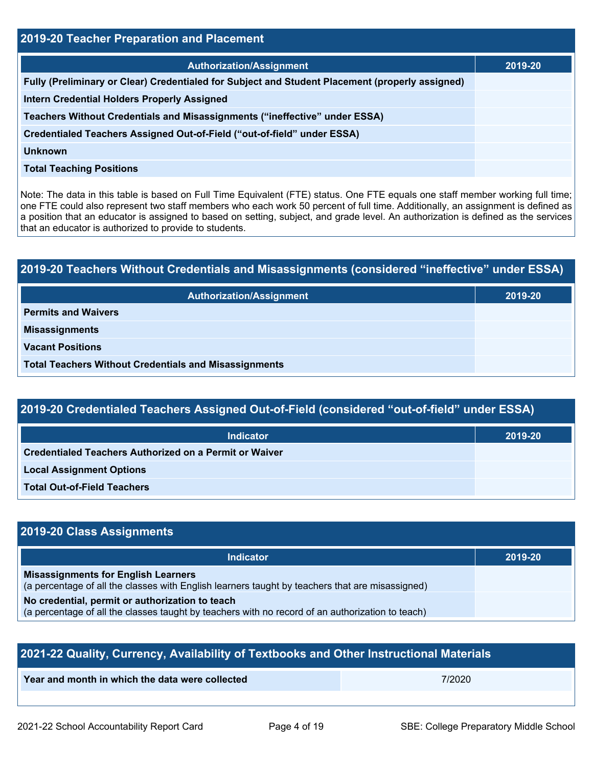| <b>2019-20 Teacher Preparation and Placement</b>                                                |         |  |  |
|-------------------------------------------------------------------------------------------------|---------|--|--|
| <b>Authorization/Assignment</b>                                                                 | 2019-20 |  |  |
| Fully (Preliminary or Clear) Credentialed for Subject and Student Placement (properly assigned) |         |  |  |
| <b>Intern Credential Holders Properly Assigned</b>                                              |         |  |  |
| Teachers Without Credentials and Misassignments ("ineffective" under ESSA)                      |         |  |  |
| Credentialed Teachers Assigned Out-of-Field ("out-of-field" under ESSA)                         |         |  |  |
| Unknown                                                                                         |         |  |  |
| <b>Total Teaching Positions</b>                                                                 |         |  |  |

Note: The data in this table is based on Full Time Equivalent (FTE) status. One FTE equals one staff member working full time; one FTE could also represent two staff members who each work 50 percent of full time. Additionally, an assignment is defined as a position that an educator is assigned to based on setting, subject, and grade level. An authorization is defined as the services that an educator is authorized to provide to students.

| 2019-20 Teachers Without Credentials and Misassignments (considered "ineffective" under ESSA) |         |  |  |
|-----------------------------------------------------------------------------------------------|---------|--|--|
| <b>Authorization/Assignment</b>                                                               | 2019-20 |  |  |
| <b>Permits and Waivers</b>                                                                    |         |  |  |
| <b>Misassignments</b>                                                                         |         |  |  |
| <b>Vacant Positions</b>                                                                       |         |  |  |
| <b>Total Teachers Without Credentials and Misassignments</b>                                  |         |  |  |

| 2019-20 Credentialed Teachers Assigned Out-of-Field (considered "out-of-field" under ESSA) |
|--------------------------------------------------------------------------------------------|
|--------------------------------------------------------------------------------------------|

| <b>Indicator</b>                                       | 2019-20 |
|--------------------------------------------------------|---------|
| Credentialed Teachers Authorized on a Permit or Waiver |         |
| <b>Local Assignment Options</b>                        |         |
| <b>Total Out-of-Field Teachers</b>                     |         |

## **2019-20 Class Assignments**

| <b>Indicator</b>                                                                                                                                    | 2019-20 |
|-----------------------------------------------------------------------------------------------------------------------------------------------------|---------|
| <b>Misassignments for English Learners</b><br>(a percentage of all the classes with English learners taught by teachers that are misassigned)       |         |
| No credential, permit or authorization to teach<br>(a percentage of all the classes taught by teachers with no record of an authorization to teach) |         |

| 2021-22 Quality, Currency, Availability of Textbooks and Other Instructional Materials |        |  |  |
|----------------------------------------------------------------------------------------|--------|--|--|
| Year and month in which the data were collected                                        | 7/2020 |  |  |
|                                                                                        |        |  |  |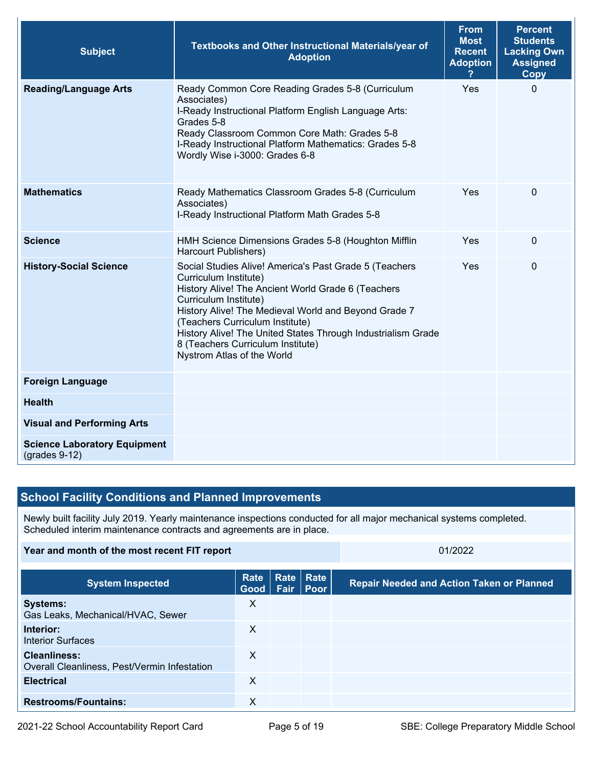| <b>Subject</b>                                         | Textbooks and Other Instructional Materials/year of<br><b>Adoption</b>                                                                                                                                                                                                                                                                                                                       | <b>From</b><br><b>Most</b><br><b>Recent</b><br><b>Adoption</b> | <b>Percent</b><br><b>Students</b><br><b>Lacking Own</b><br><b>Assigned</b><br>Copy |
|--------------------------------------------------------|----------------------------------------------------------------------------------------------------------------------------------------------------------------------------------------------------------------------------------------------------------------------------------------------------------------------------------------------------------------------------------------------|----------------------------------------------------------------|------------------------------------------------------------------------------------|
| <b>Reading/Language Arts</b>                           | Ready Common Core Reading Grades 5-8 (Curriculum<br>Associates)<br>I-Ready Instructional Platform English Language Arts:<br>Grades 5-8<br>Ready Classroom Common Core Math: Grades 5-8<br>I-Ready Instructional Platform Mathematics: Grades 5-8<br>Wordly Wise i-3000: Grades 6-8                                                                                                           | Yes                                                            | $\Omega$                                                                           |
| <b>Mathematics</b>                                     | Ready Mathematics Classroom Grades 5-8 (Curriculum<br>Associates)<br>I-Ready Instructional Platform Math Grades 5-8                                                                                                                                                                                                                                                                          | Yes                                                            | $\pmb{0}$                                                                          |
| <b>Science</b>                                         | HMH Science Dimensions Grades 5-8 (Houghton Mifflin<br>Harcourt Publishers)                                                                                                                                                                                                                                                                                                                  | Yes                                                            | $\mathbf 0$                                                                        |
| <b>History-Social Science</b>                          | Social Studies Alive! America's Past Grade 5 (Teachers<br>Curriculum Institute)<br>History Alive! The Ancient World Grade 6 (Teachers<br>Curriculum Institute)<br>History Alive! The Medieval World and Beyond Grade 7<br>(Teachers Curriculum Institute)<br>History Alive! The United States Through Industrialism Grade<br>8 (Teachers Curriculum Institute)<br>Nystrom Atlas of the World | Yes                                                            | $\Omega$                                                                           |
| <b>Foreign Language</b>                                |                                                                                                                                                                                                                                                                                                                                                                                              |                                                                |                                                                                    |
| <b>Health</b>                                          |                                                                                                                                                                                                                                                                                                                                                                                              |                                                                |                                                                                    |
| <b>Visual and Performing Arts</b>                      |                                                                                                                                                                                                                                                                                                                                                                                              |                                                                |                                                                                    |
| <b>Science Laboratory Equipment</b><br>$(grades 9-12)$ |                                                                                                                                                                                                                                                                                                                                                                                              |                                                                |                                                                                    |

## **School Facility Conditions and Planned Improvements**

Newly built facility July 2019. Yearly maintenance inspections conducted for all major mechanical systems completed. Scheduled interim maintenance contracts and agreements are in place.

#### **Year and month of the most recent FIT report** 01/2022

| <b>System Inspected</b>                                             | Rate<br>Good   Fair   Poor | Rate Rate | <b>Repair Needed and Action Taken or Planned</b> |
|---------------------------------------------------------------------|----------------------------|-----------|--------------------------------------------------|
| <b>Systems:</b><br>Gas Leaks, Mechanical/HVAC, Sewer                | X                          |           |                                                  |
| Interior:<br><b>Interior Surfaces</b>                               | X                          |           |                                                  |
| <b>Cleanliness:</b><br>Overall Cleanliness, Pest/Vermin Infestation | X                          |           |                                                  |
| <b>Electrical</b>                                                   | X                          |           |                                                  |
| <b>Restrooms/Fountains:</b>                                         | х                          |           |                                                  |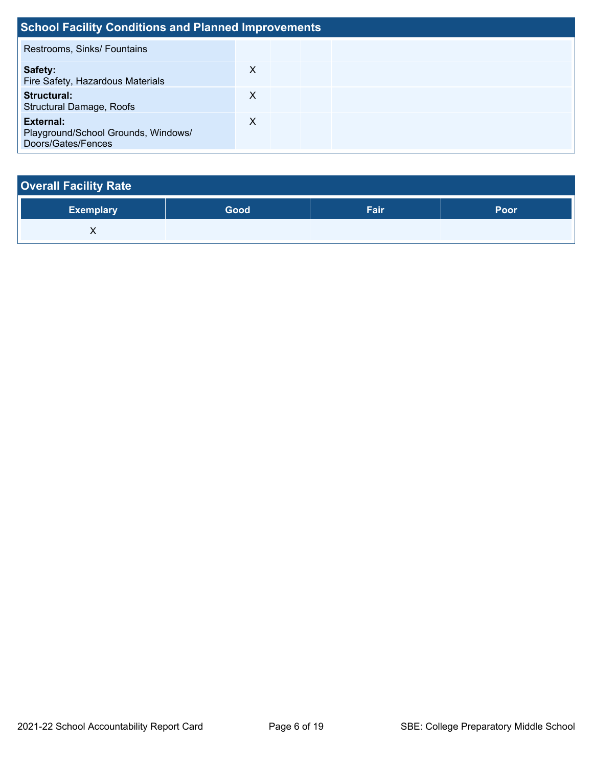| <b>School Facility Conditions and Planned Improvements</b>             |   |  |  |  |  |  |
|------------------------------------------------------------------------|---|--|--|--|--|--|
| Restrooms, Sinks/ Fountains                                            |   |  |  |  |  |  |
| Safety:<br>Fire Safety, Hazardous Materials                            | х |  |  |  |  |  |
| Structural:<br><b>Structural Damage, Roofs</b>                         | X |  |  |  |  |  |
| External:<br>Playground/School Grounds, Windows/<br>Doors/Gates/Fences | X |  |  |  |  |  |

| <b>Overall Facility Rate</b> |      |      |      |
|------------------------------|------|------|------|
| <b>Exemplary</b>             | Good | Fair | Poor |
| ∧                            |      |      |      |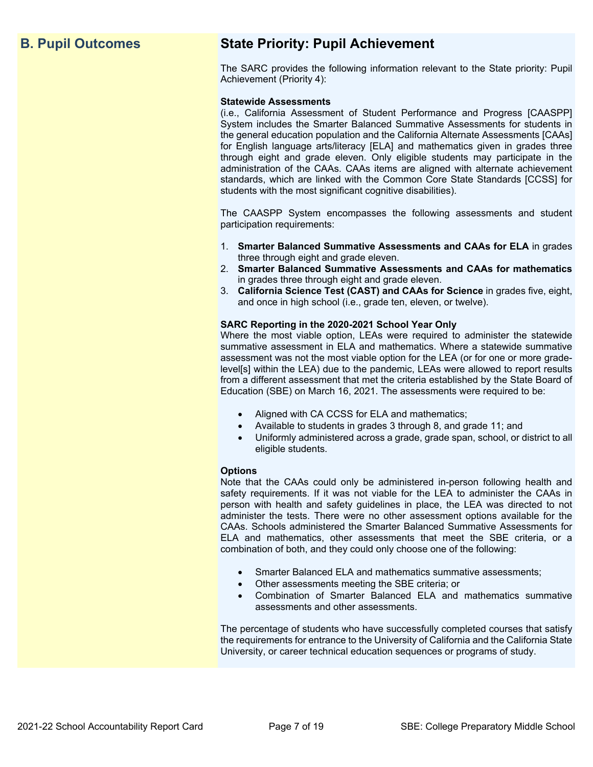## **B. Pupil Outcomes State Priority: Pupil Achievement**

The SARC provides the following information relevant to the State priority: Pupil Achievement (Priority 4):

#### **Statewide Assessments**

(i.e., California Assessment of Student Performance and Progress [CAASPP] System includes the Smarter Balanced Summative Assessments for students in the general education population and the California Alternate Assessments [CAAs] for English language arts/literacy [ELA] and mathematics given in grades three through eight and grade eleven. Only eligible students may participate in the administration of the CAAs. CAAs items are aligned with alternate achievement standards, which are linked with the Common Core State Standards [CCSS] for students with the most significant cognitive disabilities).

The CAASPP System encompasses the following assessments and student participation requirements:

- 1. **Smarter Balanced Summative Assessments and CAAs for ELA** in grades three through eight and grade eleven.
- 2. **Smarter Balanced Summative Assessments and CAAs for mathematics** in grades three through eight and grade eleven.
- 3. **California Science Test (CAST) and CAAs for Science** in grades five, eight, and once in high school (i.e., grade ten, eleven, or twelve).

#### **SARC Reporting in the 2020-2021 School Year Only**

Where the most viable option, LEAs were required to administer the statewide summative assessment in ELA and mathematics. Where a statewide summative assessment was not the most viable option for the LEA (or for one or more gradelevel[s] within the LEA) due to the pandemic, LEAs were allowed to report results from a different assessment that met the criteria established by the State Board of Education (SBE) on March 16, 2021. The assessments were required to be:

- Aligned with CA CCSS for ELA and mathematics;
- Available to students in grades 3 through 8, and grade 11; and
- Uniformly administered across a grade, grade span, school, or district to all eligible students.

#### **Options**

Note that the CAAs could only be administered in-person following health and safety requirements. If it was not viable for the LEA to administer the CAAs in person with health and safety guidelines in place, the LEA was directed to not administer the tests. There were no other assessment options available for the CAAs. Schools administered the Smarter Balanced Summative Assessments for ELA and mathematics, other assessments that meet the SBE criteria, or a combination of both, and they could only choose one of the following:

- Smarter Balanced ELA and mathematics summative assessments;
- Other assessments meeting the SBE criteria; or
- Combination of Smarter Balanced ELA and mathematics summative assessments and other assessments.

The percentage of students who have successfully completed courses that satisfy the requirements for entrance to the University of California and the California State University, or career technical education sequences or programs of study.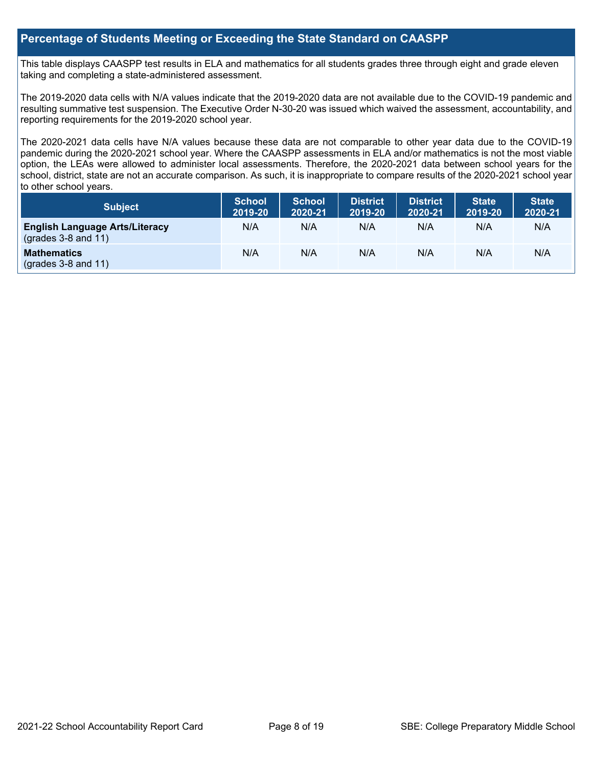## **Percentage of Students Meeting or Exceeding the State Standard on CAASPP**

This table displays CAASPP test results in ELA and mathematics for all students grades three through eight and grade eleven taking and completing a state-administered assessment.

The 2019-2020 data cells with N/A values indicate that the 2019-2020 data are not available due to the COVID-19 pandemic and resulting summative test suspension. The Executive Order N-30-20 was issued which waived the assessment, accountability, and reporting requirements for the 2019-2020 school year.

The 2020-2021 data cells have N/A values because these data are not comparable to other year data due to the COVID-19 pandemic during the 2020-2021 school year. Where the CAASPP assessments in ELA and/or mathematics is not the most viable option, the LEAs were allowed to administer local assessments. Therefore, the 2020-2021 data between school years for the school, district, state are not an accurate comparison. As such, it is inappropriate to compare results of the 2020-2021 school year to other school years.

| Subject                                                              | <b>School</b><br>2019-20 | <b>School</b><br>2020-21 | <b>District</b><br>2019-20 | <b>District</b><br>2020-21 | <b>State</b><br>2019-20 | <b>State</b><br>2020-21 |
|----------------------------------------------------------------------|--------------------------|--------------------------|----------------------------|----------------------------|-------------------------|-------------------------|
| <b>English Language Arts/Literacy</b><br>$\left($ grades 3-8 and 11) | N/A                      | N/A                      | N/A                        | N/A                        | N/A                     | N/A                     |
| <b>Mathematics</b><br>$(grades 3-8 and 11)$                          | N/A                      | N/A                      | N/A                        | N/A                        | N/A                     | N/A                     |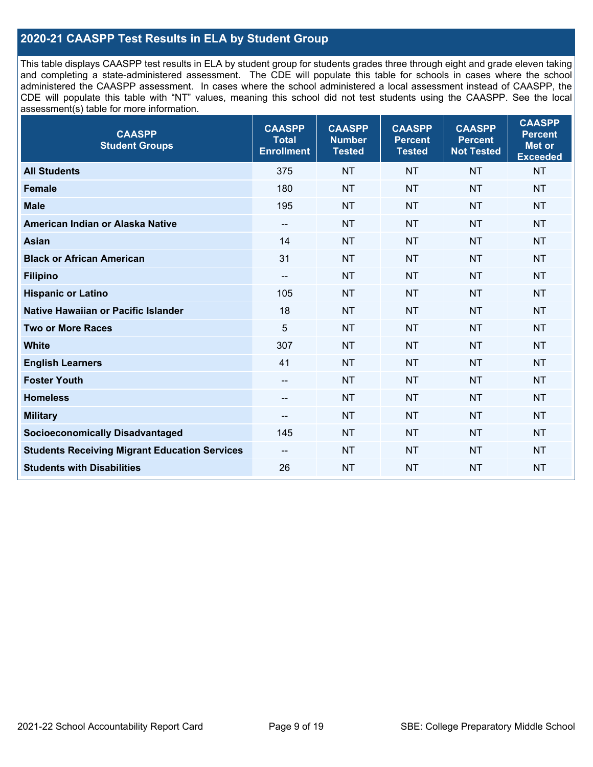## **2020-21 CAASPP Test Results in ELA by Student Group**

This table displays CAASPP test results in ELA by student group for students grades three through eight and grade eleven taking and completing a state-administered assessment. The CDE will populate this table for schools in cases where the school administered the CAASPP assessment. In cases where the school administered a local assessment instead of CAASPP, the CDE will populate this table with "NT" values, meaning this school did not test students using the CAASPP. See the local assessment(s) table for more information.

| <b>CAASPP</b><br><b>Student Groups</b>               | <b>CAASPP</b><br><b>Total</b><br><b>Enrollment</b> | <b>CAASPP</b><br><b>Number</b><br><b>Tested</b> | <b>CAASPP</b><br><b>Percent</b><br><b>Tested</b> | <b>CAASPP</b><br><b>Percent</b><br><b>Not Tested</b> | <b>CAASPP</b><br><b>Percent</b><br>Met or<br><b>Exceeded</b> |
|------------------------------------------------------|----------------------------------------------------|-------------------------------------------------|--------------------------------------------------|------------------------------------------------------|--------------------------------------------------------------|
| <b>All Students</b>                                  | 375                                                | <b>NT</b>                                       | <b>NT</b>                                        | <b>NT</b>                                            | <b>NT</b>                                                    |
| <b>Female</b>                                        | 180                                                | <b>NT</b>                                       | <b>NT</b>                                        | <b>NT</b>                                            | <b>NT</b>                                                    |
| <b>Male</b>                                          | 195                                                | <b>NT</b>                                       | <b>NT</b>                                        | <b>NT</b>                                            | <b>NT</b>                                                    |
| American Indian or Alaska Native                     | $-\!$ $\!-$                                        | <b>NT</b>                                       | <b>NT</b>                                        | <b>NT</b>                                            | <b>NT</b>                                                    |
| <b>Asian</b>                                         | 14                                                 | <b>NT</b>                                       | <b>NT</b>                                        | <b>NT</b>                                            | <b>NT</b>                                                    |
| <b>Black or African American</b>                     | 31                                                 | <b>NT</b>                                       | <b>NT</b>                                        | <b>NT</b>                                            | <b>NT</b>                                                    |
| <b>Filipino</b>                                      | $\overline{\phantom{a}}$                           | <b>NT</b>                                       | <b>NT</b>                                        | <b>NT</b>                                            | <b>NT</b>                                                    |
| <b>Hispanic or Latino</b>                            | 105                                                | <b>NT</b>                                       | <b>NT</b>                                        | <b>NT</b>                                            | <b>NT</b>                                                    |
| <b>Native Hawaiian or Pacific Islander</b>           | 18                                                 | <b>NT</b>                                       | <b>NT</b>                                        | <b>NT</b>                                            | <b>NT</b>                                                    |
| <b>Two or More Races</b>                             | 5                                                  | <b>NT</b>                                       | <b>NT</b>                                        | <b>NT</b>                                            | <b>NT</b>                                                    |
| <b>White</b>                                         | 307                                                | <b>NT</b>                                       | <b>NT</b>                                        | <b>NT</b>                                            | <b>NT</b>                                                    |
| <b>English Learners</b>                              | 41                                                 | <b>NT</b>                                       | <b>NT</b>                                        | <b>NT</b>                                            | <b>NT</b>                                                    |
| <b>Foster Youth</b>                                  |                                                    | <b>NT</b>                                       | <b>NT</b>                                        | <b>NT</b>                                            | <b>NT</b>                                                    |
| <b>Homeless</b>                                      | $\overline{\phantom{a}}$                           | <b>NT</b>                                       | <b>NT</b>                                        | <b>NT</b>                                            | <b>NT</b>                                                    |
| <b>Military</b>                                      | $\overline{\phantom{a}}$                           | <b>NT</b>                                       | <b>NT</b>                                        | <b>NT</b>                                            | <b>NT</b>                                                    |
| <b>Socioeconomically Disadvantaged</b>               | 145                                                | <b>NT</b>                                       | <b>NT</b>                                        | <b>NT</b>                                            | <b>NT</b>                                                    |
| <b>Students Receiving Migrant Education Services</b> | $\overline{\phantom{a}}$                           | <b>NT</b>                                       | <b>NT</b>                                        | <b>NT</b>                                            | <b>NT</b>                                                    |
| <b>Students with Disabilities</b>                    | 26                                                 | <b>NT</b>                                       | <b>NT</b>                                        | <b>NT</b>                                            | <b>NT</b>                                                    |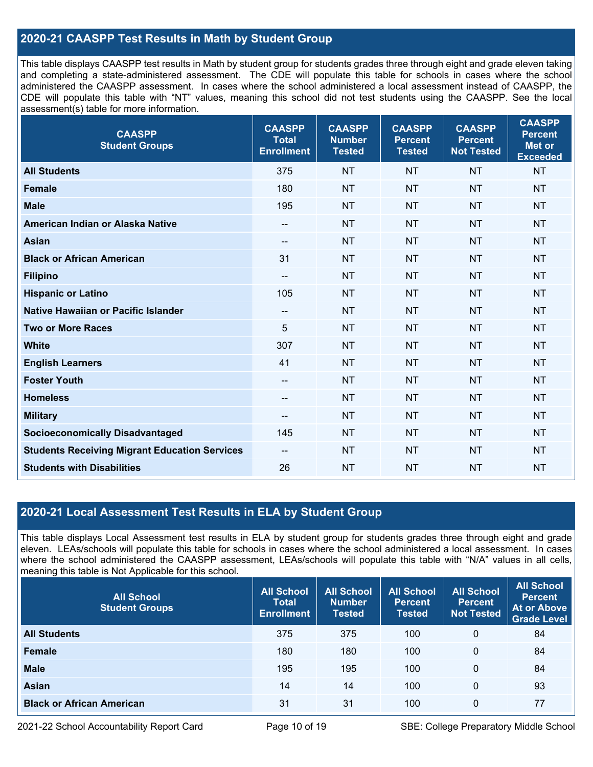## **2020-21 CAASPP Test Results in Math by Student Group**

This table displays CAASPP test results in Math by student group for students grades three through eight and grade eleven taking and completing a state-administered assessment. The CDE will populate this table for schools in cases where the school administered the CAASPP assessment. In cases where the school administered a local assessment instead of CAASPP, the CDE will populate this table with "NT" values, meaning this school did not test students using the CAASPP. See the local assessment(s) table for more information.

| <b>CAASPP</b><br><b>Student Groups</b>               | <b>CAASPP</b><br><b>Total</b><br><b>Enrollment</b> | <b>CAASPP</b><br><b>Number</b><br><b>Tested</b> | <b>CAASPP</b><br><b>Percent</b><br><b>Tested</b> | <b>CAASPP</b><br><b>Percent</b><br><b>Not Tested</b> | <b>CAASPP</b><br><b>Percent</b><br><b>Met or</b><br><b>Exceeded</b> |
|------------------------------------------------------|----------------------------------------------------|-------------------------------------------------|--------------------------------------------------|------------------------------------------------------|---------------------------------------------------------------------|
| <b>All Students</b>                                  | 375                                                | <b>NT</b>                                       | <b>NT</b>                                        | <b>NT</b>                                            | <b>NT</b>                                                           |
| <b>Female</b>                                        | 180                                                | <b>NT</b>                                       | <b>NT</b>                                        | <b>NT</b>                                            | <b>NT</b>                                                           |
| <b>Male</b>                                          | 195                                                | <b>NT</b>                                       | <b>NT</b>                                        | <b>NT</b>                                            | <b>NT</b>                                                           |
| American Indian or Alaska Native                     | $\hspace{0.05cm}$                                  | <b>NT</b>                                       | <b>NT</b>                                        | <b>NT</b>                                            | <b>NT</b>                                                           |
| <b>Asian</b>                                         |                                                    | <b>NT</b>                                       | <b>NT</b>                                        | <b>NT</b>                                            | <b>NT</b>                                                           |
| <b>Black or African American</b>                     | 31                                                 | <b>NT</b>                                       | <b>NT</b>                                        | <b>NT</b>                                            | <b>NT</b>                                                           |
| <b>Filipino</b>                                      | $\overline{\phantom{m}}$                           | <b>NT</b>                                       | <b>NT</b>                                        | <b>NT</b>                                            | <b>NT</b>                                                           |
| <b>Hispanic or Latino</b>                            | 105                                                | <b>NT</b>                                       | <b>NT</b>                                        | <b>NT</b>                                            | <b>NT</b>                                                           |
| <b>Native Hawaiian or Pacific Islander</b>           | $-\!$ $\!-$                                        | <b>NT</b>                                       | <b>NT</b>                                        | <b>NT</b>                                            | <b>NT</b>                                                           |
| <b>Two or More Races</b>                             | 5                                                  | <b>NT</b>                                       | <b>NT</b>                                        | <b>NT</b>                                            | <b>NT</b>                                                           |
| <b>White</b>                                         | 307                                                | <b>NT</b>                                       | <b>NT</b>                                        | <b>NT</b>                                            | <b>NT</b>                                                           |
| <b>English Learners</b>                              | 41                                                 | <b>NT</b>                                       | <b>NT</b>                                        | <b>NT</b>                                            | <b>NT</b>                                                           |
| <b>Foster Youth</b>                                  | $-$                                                | <b>NT</b>                                       | <b>NT</b>                                        | <b>NT</b>                                            | <b>NT</b>                                                           |
| <b>Homeless</b>                                      | $\hspace{0.05cm}$                                  | <b>NT</b>                                       | <b>NT</b>                                        | <b>NT</b>                                            | <b>NT</b>                                                           |
| <b>Military</b>                                      | $-$                                                | <b>NT</b>                                       | <b>NT</b>                                        | <b>NT</b>                                            | <b>NT</b>                                                           |
| <b>Socioeconomically Disadvantaged</b>               | 145                                                | <b>NT</b>                                       | <b>NT</b>                                        | <b>NT</b>                                            | <b>NT</b>                                                           |
| <b>Students Receiving Migrant Education Services</b> | $- -$                                              | <b>NT</b>                                       | <b>NT</b>                                        | <b>NT</b>                                            | <b>NT</b>                                                           |
| <b>Students with Disabilities</b>                    | 26                                                 | <b>NT</b>                                       | <b>NT</b>                                        | <b>NT</b>                                            | <b>NT</b>                                                           |

## **2020-21 Local Assessment Test Results in ELA by Student Group**

This table displays Local Assessment test results in ELA by student group for students grades three through eight and grade eleven. LEAs/schools will populate this table for schools in cases where the school administered a local assessment. In cases where the school administered the CAASPP assessment, LEAs/schools will populate this table with "N/A" values in all cells, meaning this table is Not Applicable for this school.

| <b>All School</b><br><b>Student Groups</b> | <b>All School</b><br><b>Total</b><br><b>Enrollment</b> | <b>All School</b><br><b>Number</b><br><b>Tested</b> | <b>All School</b><br><b>Percent</b><br><b>Tested</b> | <b>All School</b><br><b>Percent</b><br><b>Not Tested</b> | <b>All School</b><br><b>Percent</b><br><b>At or Above</b><br><b>Grade Level</b> |
|--------------------------------------------|--------------------------------------------------------|-----------------------------------------------------|------------------------------------------------------|----------------------------------------------------------|---------------------------------------------------------------------------------|
| <b>All Students</b>                        | 375                                                    | 375                                                 | 100                                                  | 0                                                        | 84                                                                              |
| <b>Female</b>                              | 180                                                    | 180                                                 | 100                                                  | 0                                                        | 84                                                                              |
| <b>Male</b>                                | 195                                                    | 195                                                 | 100                                                  | $\mathbf{0}$                                             | 84                                                                              |
| <b>Asian</b>                               | 14                                                     | 14                                                  | 100                                                  | 0                                                        | 93                                                                              |
| <b>Black or African American</b>           | 31                                                     | 31                                                  | 100                                                  | 0                                                        | 77                                                                              |

2021-22 School Accountability Report Card Page 10 of 19 SBE: College Preparatory Middle School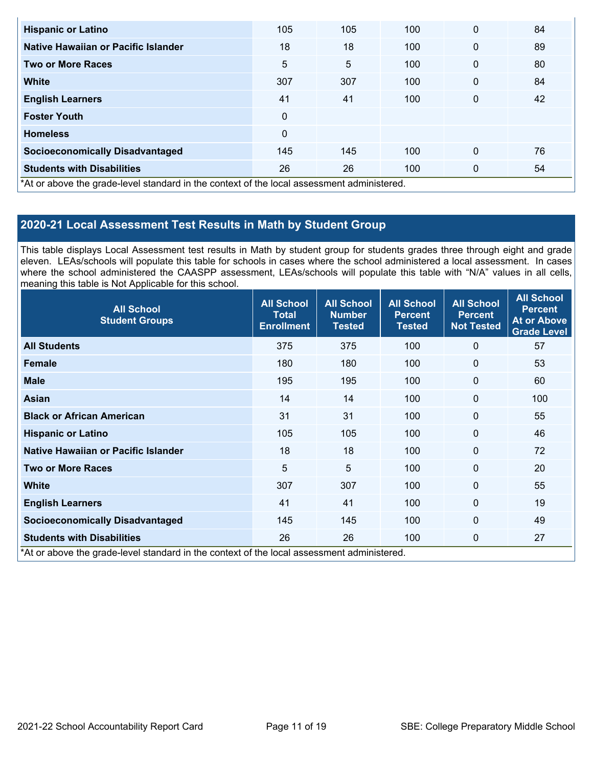| <b>Hispanic or Latino</b>                                                                                                                          | 105      | 105 | 100 | $\mathbf{0}$ | 84 |
|----------------------------------------------------------------------------------------------------------------------------------------------------|----------|-----|-----|--------------|----|
| Native Hawaiian or Pacific Islander                                                                                                                | 18       | 18  | 100 | $\mathbf{0}$ | 89 |
| <b>Two or More Races</b>                                                                                                                           | 5        | 5   | 100 | $\mathbf{0}$ | 80 |
| <b>White</b>                                                                                                                                       | 307      | 307 | 100 | $\mathbf{0}$ | 84 |
| <b>English Learners</b>                                                                                                                            | 41       | 41  | 100 | $\mathbf{0}$ | 42 |
| <b>Foster Youth</b>                                                                                                                                | $\Omega$ |     |     |              |    |
| <b>Homeless</b>                                                                                                                                    | 0        |     |     |              |    |
| <b>Socioeconomically Disadvantaged</b>                                                                                                             | 145      | 145 | 100 | $\mathbf{0}$ | 76 |
| <b>Students with Disabilities</b><br>$\star$ At an above the analog and advantage in the analogical and the least accordinate detection of $\star$ | 26       | 26  | 100 | $\mathbf{0}$ | 54 |

\*At or above the grade-level standard in the context of the local assessment administered.

## **2020-21 Local Assessment Test Results in Math by Student Group**

This table displays Local Assessment test results in Math by student group for students grades three through eight and grade eleven. LEAs/schools will populate this table for schools in cases where the school administered a local assessment. In cases where the school administered the CAASPP assessment, LEAs/schools will populate this table with "N/A" values in all cells, meaning this table is Not Applicable for this school.

| <b>All School</b><br><b>Student Groups</b>                                                 | <b>All School</b><br><b>Total</b><br><b>Enrollment</b> | <b>All School</b><br><b>Number</b><br><b>Tested</b> | <b>All School</b><br><b>Percent</b><br><b>Tested</b> | <b>All School</b><br><b>Percent</b><br><b>Not Tested</b> | <b>All School</b><br><b>Percent</b><br><b>At or Above</b><br><b>Grade Level</b> |
|--------------------------------------------------------------------------------------------|--------------------------------------------------------|-----------------------------------------------------|------------------------------------------------------|----------------------------------------------------------|---------------------------------------------------------------------------------|
| <b>All Students</b>                                                                        | 375                                                    | 375                                                 | 100                                                  | $\Omega$                                                 | 57                                                                              |
| <b>Female</b>                                                                              | 180                                                    | 180                                                 | 100                                                  | $\Omega$                                                 | 53                                                                              |
| <b>Male</b>                                                                                | 195                                                    | 195                                                 | 100                                                  | $\mathbf 0$                                              | 60                                                                              |
| Asian                                                                                      | 14                                                     | 14                                                  | 100                                                  | 0                                                        | 100                                                                             |
| <b>Black or African American</b>                                                           | 31                                                     | 31                                                  | 100                                                  | 0                                                        | 55                                                                              |
| <b>Hispanic or Latino</b>                                                                  | 105                                                    | 105                                                 | 100                                                  | 0                                                        | 46                                                                              |
| Native Hawaiian or Pacific Islander                                                        | 18                                                     | 18                                                  | 100                                                  | $\mathbf{0}$                                             | 72                                                                              |
| <b>Two or More Races</b>                                                                   | 5                                                      | 5                                                   | 100                                                  | $\mathbf 0$                                              | 20                                                                              |
| <b>White</b>                                                                               | 307                                                    | 307                                                 | 100                                                  | $\mathbf 0$                                              | 55                                                                              |
| <b>English Learners</b>                                                                    | 41                                                     | 41                                                  | 100                                                  | $\mathbf 0$                                              | 19                                                                              |
| <b>Socioeconomically Disadvantaged</b>                                                     | 145                                                    | 145                                                 | 100                                                  | $\overline{0}$                                           | 49                                                                              |
| <b>Students with Disabilities</b>                                                          | 26                                                     | 26                                                  | 100                                                  | $\mathbf 0$                                              | 27                                                                              |
| *At or above the grade-level standard in the context of the local assessment administered. |                                                        |                                                     |                                                      |                                                          |                                                                                 |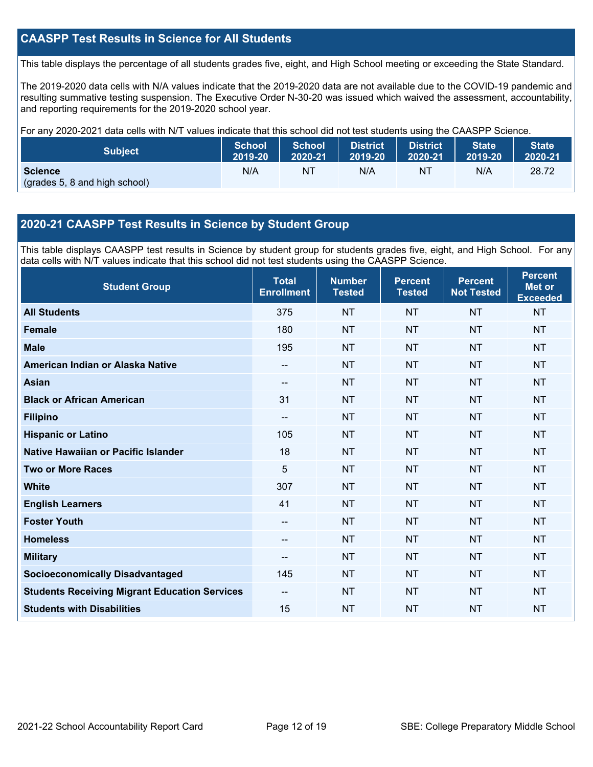## **CAASPP Test Results in Science for All Students**

This table displays the percentage of all students grades five, eight, and High School meeting or exceeding the State Standard.

The 2019-2020 data cells with N/A values indicate that the 2019-2020 data are not available due to the COVID-19 pandemic and resulting summative testing suspension. The Executive Order N-30-20 was issued which waived the assessment, accountability, and reporting requirements for the 2019-2020 school year.

For any 2020-2021 data cells with N/T values indicate that this school did not test students using the CAASPP Science.

| <b>Subject</b>                                  | <b>School</b> | <b>School</b> | <b>District</b> | <b>District</b> | State   | State <sup>1</sup> |
|-------------------------------------------------|---------------|---------------|-----------------|-----------------|---------|--------------------|
|                                                 | 2019-20       | 2020-21       | 2019-20         | 2020-21         | 2019-20 | 2020-21            |
| <b>Science</b><br>(grades 5, 8 and high school) | N/A           | ΝT            | N/A             | NT              | N/A     | 28.72              |

## **2020-21 CAASPP Test Results in Science by Student Group**

This table displays CAASPP test results in Science by student group for students grades five, eight, and High School. For any data cells with N/T values indicate that this school did not test students using the CAASPP Science.

| <b>Student Group</b>                                 | <b>Total</b><br><b>Enrollment</b> | <b>Number</b><br><b>Tested</b> | <b>Percent</b><br><b>Tested</b> | <b>Percent</b><br><b>Not Tested</b> | <b>Percent</b><br><b>Met or</b><br><b>Exceeded</b> |
|------------------------------------------------------|-----------------------------------|--------------------------------|---------------------------------|-------------------------------------|----------------------------------------------------|
| <b>All Students</b>                                  | 375                               | <b>NT</b>                      | <b>NT</b>                       | <b>NT</b>                           | <b>NT</b>                                          |
| <b>Female</b>                                        | 180                               | <b>NT</b>                      | <b>NT</b>                       | <b>NT</b>                           | <b>NT</b>                                          |
| <b>Male</b>                                          | 195                               | <b>NT</b>                      | <b>NT</b>                       | <b>NT</b>                           | <b>NT</b>                                          |
| American Indian or Alaska Native                     | $\hspace{0.05cm}$                 | <b>NT</b>                      | <b>NT</b>                       | <b>NT</b>                           | <b>NT</b>                                          |
| <b>Asian</b>                                         | $-$                               | <b>NT</b>                      | <b>NT</b>                       | <b>NT</b>                           | <b>NT</b>                                          |
| <b>Black or African American</b>                     | 31                                | <b>NT</b>                      | <b>NT</b>                       | <b>NT</b>                           | <b>NT</b>                                          |
| <b>Filipino</b>                                      | --                                | <b>NT</b>                      | <b>NT</b>                       | <b>NT</b>                           | <b>NT</b>                                          |
| <b>Hispanic or Latino</b>                            | 105                               | <b>NT</b>                      | <b>NT</b>                       | NT                                  | <b>NT</b>                                          |
| Native Hawaiian or Pacific Islander                  | 18                                | <b>NT</b>                      | <b>NT</b>                       | <b>NT</b>                           | <b>NT</b>                                          |
| <b>Two or More Races</b>                             | 5                                 | <b>NT</b>                      | <b>NT</b>                       | <b>NT</b>                           | <b>NT</b>                                          |
| <b>White</b>                                         | 307                               | <b>NT</b>                      | <b>NT</b>                       | <b>NT</b>                           | <b>NT</b>                                          |
| <b>English Learners</b>                              | 41                                | <b>NT</b>                      | <b>NT</b>                       | <b>NT</b>                           | <b>NT</b>                                          |
| <b>Foster Youth</b>                                  | $- -$                             | <b>NT</b>                      | <b>NT</b>                       | <b>NT</b>                           | <b>NT</b>                                          |
| <b>Homeless</b>                                      | --                                | <b>NT</b>                      | <b>NT</b>                       | <b>NT</b>                           | <b>NT</b>                                          |
| <b>Military</b>                                      | $-$                               | <b>NT</b>                      | <b>NT</b>                       | <b>NT</b>                           | <b>NT</b>                                          |
| <b>Socioeconomically Disadvantaged</b>               | 145                               | <b>NT</b>                      | <b>NT</b>                       | <b>NT</b>                           | <b>NT</b>                                          |
| <b>Students Receiving Migrant Education Services</b> | --                                | <b>NT</b>                      | <b>NT</b>                       | <b>NT</b>                           | <b>NT</b>                                          |
| <b>Students with Disabilities</b>                    | 15                                | <b>NT</b>                      | <b>NT</b>                       | <b>NT</b>                           | <b>NT</b>                                          |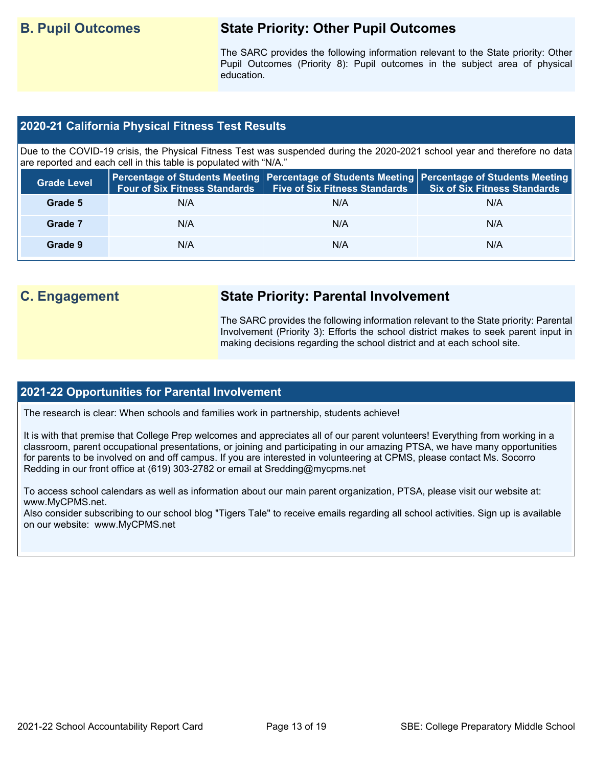## **B. Pupil Outcomes State Priority: Other Pupil Outcomes**

The SARC provides the following information relevant to the State priority: Other Pupil Outcomes (Priority 8): Pupil outcomes in the subject area of physical education.

## **2020-21 California Physical Fitness Test Results**

Due to the COVID-19 crisis, the Physical Fitness Test was suspended during the 2020-2021 school year and therefore no data are reported and each cell in this table is populated with "N/A."

| <b>Grade Level</b> | <b>Four of Six Fitness Standards</b> | <b>Five of Six Fitness Standards   Six of Six Fitness Standards</b> | Percentage of Students Meeting   Percentage of Students Meeting   Percentage of Students Meeting |
|--------------------|--------------------------------------|---------------------------------------------------------------------|--------------------------------------------------------------------------------------------------|
| Grade 5            | N/A                                  | N/A                                                                 | N/A                                                                                              |
| Grade 7            | N/A                                  | N/A                                                                 | N/A                                                                                              |
| Grade 9            | N/A                                  | N/A                                                                 | N/A                                                                                              |

## **C. Engagement State Priority: Parental Involvement**

The SARC provides the following information relevant to the State priority: Parental Involvement (Priority 3): Efforts the school district makes to seek parent input in making decisions regarding the school district and at each school site.

#### **2021-22 Opportunities for Parental Involvement**

The research is clear: When schools and families work in partnership, students achieve!

It is with that premise that College Prep welcomes and appreciates all of our parent volunteers! Everything from working in a classroom, parent occupational presentations, or joining and participating in our amazing PTSA, we have many opportunities for parents to be involved on and off campus. If you are interested in volunteering at CPMS, please contact Ms. Socorro Redding in our front office at (619) 303-2782 or email at Sredding@mycpms.net

To access school calendars as well as information about our main parent organization, PTSA, please visit our website at: www.MyCPMS.net.

Also consider subscribing to our school blog "Tigers Tale" to receive emails regarding all school activities. Sign up is available on our website: www.MyCPMS.net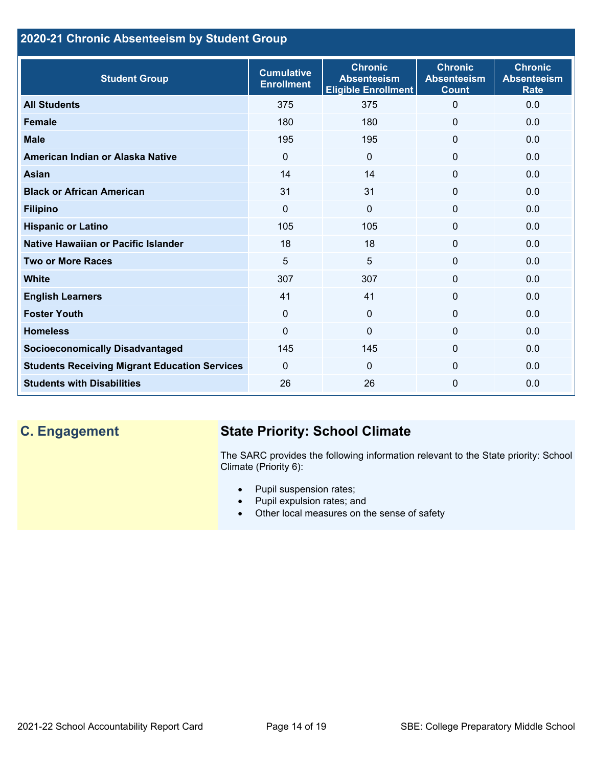## **2020-21 Chronic Absenteeism by Student Group**

| <b>Student Group</b>                                 | <b>Cumulative</b><br><b>Enrollment</b> | <b>Chronic</b><br><b>Absenteeism</b><br><b>Eligible Enrollment</b> | <b>Chronic</b><br><b>Absenteeism</b><br><b>Count</b> | <b>Chronic</b><br><b>Absenteeism</b><br><b>Rate</b> |
|------------------------------------------------------|----------------------------------------|--------------------------------------------------------------------|------------------------------------------------------|-----------------------------------------------------|
| <b>All Students</b>                                  | 375                                    | 375                                                                | $\Omega$                                             | 0.0                                                 |
| <b>Female</b>                                        | 180                                    | 180                                                                | 0                                                    | 0.0                                                 |
| <b>Male</b>                                          | 195                                    | 195                                                                | 0                                                    | 0.0                                                 |
| American Indian or Alaska Native                     | $\Omega$                               | $\mathbf{0}$                                                       | 0                                                    | 0.0                                                 |
| <b>Asian</b>                                         | 14                                     | 14                                                                 | $\mathbf 0$                                          | 0.0                                                 |
| <b>Black or African American</b>                     | 31                                     | 31                                                                 | $\mathbf{0}$                                         | 0.0                                                 |
| <b>Filipino</b>                                      | $\mathbf 0$                            | $\mathbf 0$                                                        | $\mathbf{0}$                                         | 0.0                                                 |
| <b>Hispanic or Latino</b>                            | 105                                    | 105                                                                | $\Omega$                                             | 0.0                                                 |
| Native Hawaiian or Pacific Islander                  | 18                                     | 18                                                                 | 0                                                    | 0.0                                                 |
| <b>Two or More Races</b>                             | 5                                      | 5                                                                  | 0                                                    | 0.0                                                 |
| White                                                | 307                                    | 307                                                                | 0                                                    | 0.0                                                 |
| <b>English Learners</b>                              | 41                                     | 41                                                                 | 0                                                    | 0.0                                                 |
| <b>Foster Youth</b>                                  | $\mathbf{0}$                           | $\mathbf{0}$                                                       | $\Omega$                                             | 0.0                                                 |
| <b>Homeless</b>                                      | $\Omega$                               | $\overline{0}$                                                     | 0                                                    | 0.0                                                 |
| <b>Socioeconomically Disadvantaged</b>               | 145                                    | 145                                                                | $\Omega$                                             | 0.0                                                 |
| <b>Students Receiving Migrant Education Services</b> | $\Omega$                               | 0                                                                  | 0                                                    | 0.0                                                 |
| <b>Students with Disabilities</b>                    | 26                                     | 26                                                                 | $\Omega$                                             | 0.0                                                 |

## **C. Engagement State Priority: School Climate**

The SARC provides the following information relevant to the State priority: School Climate (Priority 6):

- Pupil suspension rates;
- Pupil expulsion rates; and
- Other local measures on the sense of safety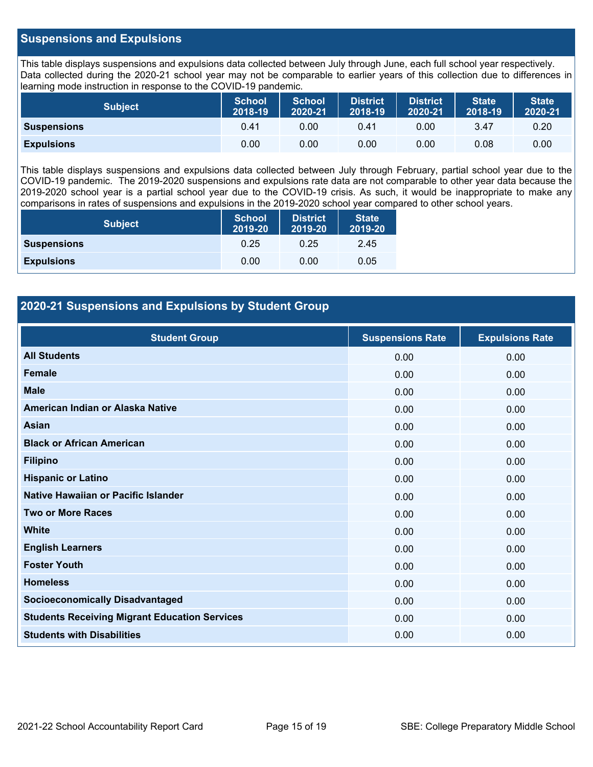## **Suspensions and Expulsions**

This table displays suspensions and expulsions data collected between July through June, each full school year respectively. Data collected during the 2020-21 school year may not be comparable to earlier years of this collection due to differences in learning mode instruction in response to the COVID-19 pandemic.

| <b>Subject</b>     | <b>School</b><br>2018-19 | School<br>2020-21 | <b>District</b><br>2018-19 | <b>District</b><br>2020-21 | <b>State</b><br>2018-19 | <b>State</b><br>2020-21 |
|--------------------|--------------------------|-------------------|----------------------------|----------------------------|-------------------------|-------------------------|
| <b>Suspensions</b> | 0.41                     | 0.00              | 0.41                       | 0.00                       | 3.47                    | 0.20                    |
| <b>Expulsions</b>  | 0.00                     | 0.00              | 0.00                       | 0.00                       | 0.08                    | 0.00                    |

This table displays suspensions and expulsions data collected between July through February, partial school year due to the COVID-19 pandemic. The 2019-2020 suspensions and expulsions rate data are not comparable to other year data because the 2019-2020 school year is a partial school year due to the COVID-19 crisis. As such, it would be inappropriate to make any comparisons in rates of suspensions and expulsions in the 2019-2020 school year compared to other school years.

| <b>Subject</b>     | <b>School</b><br>2019-20 | <b>District</b><br>2019-20 | <b>State</b><br>2019-20 |
|--------------------|--------------------------|----------------------------|-------------------------|
| <b>Suspensions</b> | 0.25                     | 0.25                       | 2.45                    |
| <b>Expulsions</b>  | 0.00                     | 0.00                       | 0.05                    |

## **2020-21 Suspensions and Expulsions by Student Group**

| <b>Student Group</b>                                 | <b>Suspensions Rate</b> | <b>Expulsions Rate</b> |
|------------------------------------------------------|-------------------------|------------------------|
| <b>All Students</b>                                  | 0.00                    | 0.00                   |
| <b>Female</b>                                        | 0.00                    | 0.00                   |
| <b>Male</b>                                          | 0.00                    | 0.00                   |
| American Indian or Alaska Native                     | 0.00                    | 0.00                   |
| Asian                                                | 0.00                    | 0.00                   |
| <b>Black or African American</b>                     | 0.00                    | 0.00                   |
| <b>Filipino</b>                                      | 0.00                    | 0.00                   |
| <b>Hispanic or Latino</b>                            | 0.00                    | 0.00                   |
| Native Hawaiian or Pacific Islander                  | 0.00                    | 0.00                   |
| <b>Two or More Races</b>                             | 0.00                    | 0.00                   |
| <b>White</b>                                         | 0.00                    | 0.00                   |
| <b>English Learners</b>                              | 0.00                    | 0.00                   |
| <b>Foster Youth</b>                                  | 0.00                    | 0.00                   |
| <b>Homeless</b>                                      | 0.00                    | 0.00                   |
| <b>Socioeconomically Disadvantaged</b>               | 0.00                    | 0.00                   |
| <b>Students Receiving Migrant Education Services</b> | 0.00                    | 0.00                   |
| <b>Students with Disabilities</b>                    | 0.00                    | 0.00                   |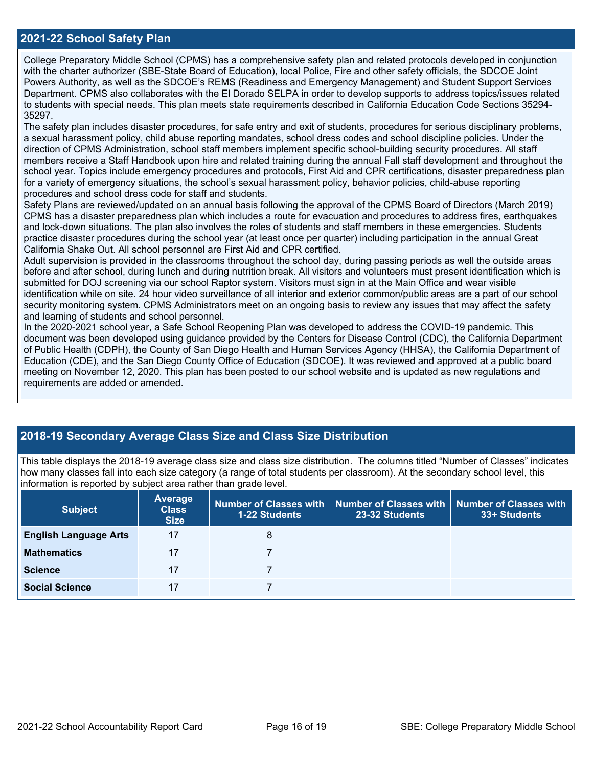## **2021-22 School Safety Plan**

College Preparatory Middle School (CPMS) has a comprehensive safety plan and related protocols developed in conjunction with the charter authorizer (SBE-State Board of Education), local Police, Fire and other safety officials, the SDCOE Joint Powers Authority, as well as the SDCOE's REMS (Readiness and Emergency Management) and Student Support Services Department. CPMS also collaborates with the El Dorado SELPA in order to develop supports to address topics/issues related to students with special needs. This plan meets state requirements described in California Education Code Sections 35294- 35297.

The safety plan includes disaster procedures, for safe entry and exit of students, procedures for serious disciplinary problems, a sexual harassment policy, child abuse reporting mandates, school dress codes and school discipline policies. Under the direction of CPMS Administration, school staff members implement specific school-building security procedures. All staff members receive a Staff Handbook upon hire and related training during the annual Fall staff development and throughout the school year. Topics include emergency procedures and protocols, First Aid and CPR certifications, disaster preparedness plan for a variety of emergency situations, the school's sexual harassment policy, behavior policies, child-abuse reporting procedures and school dress code for staff and students.

Safety Plans are reviewed/updated on an annual basis following the approval of the CPMS Board of Directors (March 2019) CPMS has a disaster preparedness plan which includes a route for evacuation and procedures to address fires, earthquakes and lock-down situations. The plan also involves the roles of students and staff members in these emergencies. Students practice disaster procedures during the school year (at least once per quarter) including participation in the annual Great California Shake Out. All school personnel are First Aid and CPR certified.

Adult supervision is provided in the classrooms throughout the school day, during passing periods as well the outside areas before and after school, during lunch and during nutrition break. All visitors and volunteers must present identification which is submitted for DOJ screening via our school Raptor system. Visitors must sign in at the Main Office and wear visible identification while on site. 24 hour video surveillance of all interior and exterior common/public areas are a part of our school security monitoring system. CPMS Administrators meet on an ongoing basis to review any issues that may affect the safety and learning of students and school personnel.

In the 2020-2021 school year, a Safe School Reopening Plan was developed to address the COVID-19 pandemic. This document was been developed using guidance provided by the Centers for Disease Control (CDC), the California Department of Public Health (CDPH), the County of San Diego Health and Human Services Agency (HHSA), the California Department of Education (CDE), and the San Diego County Office of Education (SDCOE). It was reviewed and approved at a public board meeting on November 12, 2020. This plan has been posted to our school website and is updated as new regulations and requirements are added or amended.

## **2018-19 Secondary Average Class Size and Class Size Distribution**

This table displays the 2018-19 average class size and class size distribution. The columns titled "Number of Classes" indicates how many classes fall into each size category (a range of total students per classroom). At the secondary school level, this information is reported by subject area rather than grade level.

| <b>Subject</b>               | Average<br><b>Class</b><br><b>Size</b> | 1-22 Students | Number of Classes with   Number of Classes with   Number of Classes with<br>23-32 Students | 33+ Students |
|------------------------------|----------------------------------------|---------------|--------------------------------------------------------------------------------------------|--------------|
| <b>English Language Arts</b> | 17                                     | 8             |                                                                                            |              |
| <b>Mathematics</b>           | 17                                     |               |                                                                                            |              |
| <b>Science</b>               | 17                                     |               |                                                                                            |              |
| <b>Social Science</b>        | 17                                     |               |                                                                                            |              |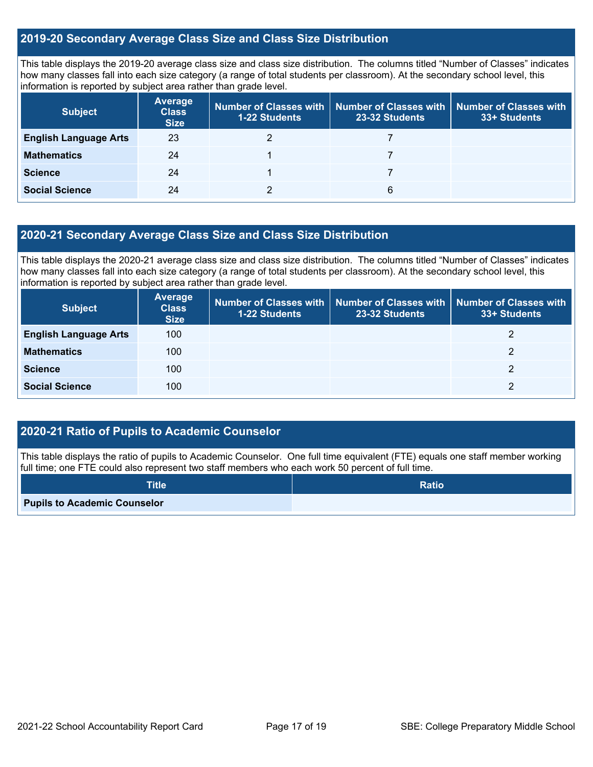## **2019-20 Secondary Average Class Size and Class Size Distribution**

This table displays the 2019-20 average class size and class size distribution. The columns titled "Number of Classes" indicates how many classes fall into each size category (a range of total students per classroom). At the secondary school level, this information is reported by subject area rather than grade level.

| <b>Subject</b>               | <b>Average</b><br><b>Class</b><br><b>Size</b> | <b>1-22 Students</b> | Number of Classes with   Number of Classes with  <br>23-32 Students | Number of Classes with<br>33+ Students |
|------------------------------|-----------------------------------------------|----------------------|---------------------------------------------------------------------|----------------------------------------|
| <b>English Language Arts</b> | 23                                            |                      |                                                                     |                                        |
| <b>Mathematics</b>           | 24                                            |                      |                                                                     |                                        |
| <b>Science</b>               | 24                                            |                      |                                                                     |                                        |
| <b>Social Science</b>        | 24                                            |                      | 6                                                                   |                                        |

## **2020-21 Secondary Average Class Size and Class Size Distribution**

This table displays the 2020-21 average class size and class size distribution. The columns titled "Number of Classes" indicates how many classes fall into each size category (a range of total students per classroom). At the secondary school level, this information is reported by subject area rather than grade level.

| <b>Subject</b>               | <b>Average</b><br><b>Class</b><br><b>Size</b> | 1-22 Students | Number of Classes with   Number of Classes with<br>23-32 Students | Number of Classes with<br>33+ Students |
|------------------------------|-----------------------------------------------|---------------|-------------------------------------------------------------------|----------------------------------------|
| <b>English Language Arts</b> | 100                                           |               |                                                                   |                                        |
| <b>Mathematics</b>           | 100                                           |               |                                                                   | 2                                      |
| <b>Science</b>               | 100                                           |               |                                                                   | 2                                      |
| <b>Social Science</b>        | 100                                           |               |                                                                   | 2                                      |

## **2020-21 Ratio of Pupils to Academic Counselor**

This table displays the ratio of pupils to Academic Counselor. One full time equivalent (FTE) equals one staff member working full time; one FTE could also represent two staff members who each work 50 percent of full time.

| <b>Title</b>                        | <b>Ratio</b> |
|-------------------------------------|--------------|
| <b>Pupils to Academic Counselor</b> |              |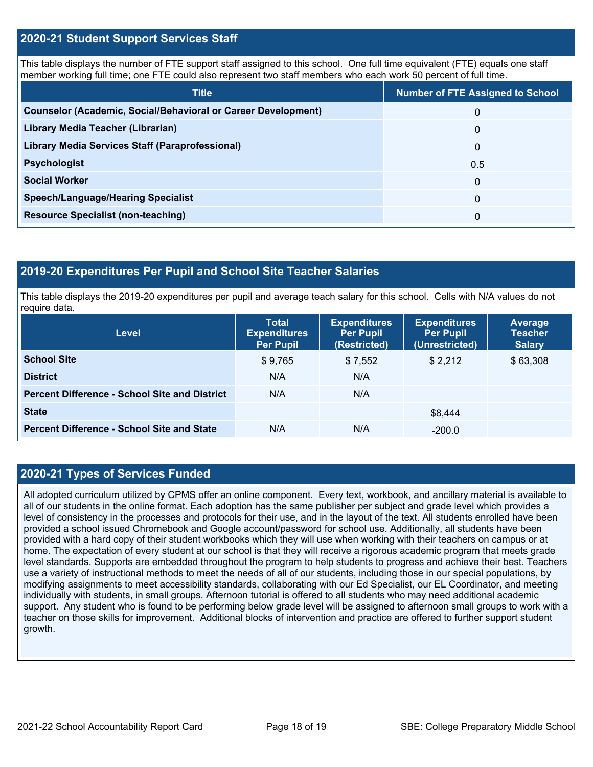## **2020-21 Student Support Services Staff**

This table displays the number of FTE support staff assigned to this school. One full time equivalent (FTE) equals one staff member working full time; one FTE could also represent two staff members who each work 50 percent of full time.

| <b>Title</b>                                                         | <b>Number of FTE Assigned to School</b> |
|----------------------------------------------------------------------|-----------------------------------------|
| <b>Counselor (Academic, Social/Behavioral or Career Development)</b> | 0                                       |
| Library Media Teacher (Librarian)                                    | $\mathbf 0$                             |
| <b>Library Media Services Staff (Paraprofessional)</b>               | 0                                       |
| <b>Psychologist</b>                                                  | 0.5                                     |
| <b>Social Worker</b>                                                 | $\Omega$                                |
| <b>Speech/Language/Hearing Specialist</b>                            | $\Omega$                                |
| <b>Resource Specialist (non-teaching)</b>                            | 0                                       |

#### **2019-20 Expenditures Per Pupil and School Site Teacher Salaries**

This table displays the 2019-20 expenditures per pupil and average teach salary for this school. Cells with N/A values do not require data.

| <b>Level</b>                                         | <b>Total</b><br><b>Expenditures</b><br><b>Per Pupil</b> | <b>Expenditures</b><br><b>Per Pupil</b><br>(Restricted) | <b>Expenditures</b><br><b>Per Pupil</b><br>(Unrestricted) | <b>Average</b><br><b>Teacher</b><br><b>Salary</b> |
|------------------------------------------------------|---------------------------------------------------------|---------------------------------------------------------|-----------------------------------------------------------|---------------------------------------------------|
| <b>School Site</b>                                   | \$9,765                                                 | \$7,552                                                 | \$2.212                                                   | \$63,308                                          |
| <b>District</b>                                      | N/A                                                     | N/A                                                     |                                                           |                                                   |
| <b>Percent Difference - School Site and District</b> | N/A                                                     | N/A                                                     |                                                           |                                                   |
| <b>State</b>                                         |                                                         |                                                         | \$8.444                                                   |                                                   |
| <b>Percent Difference - School Site and State</b>    | N/A                                                     | N/A                                                     | $-200.0$                                                  |                                                   |

## **2020-21 Types of Services Funded**

All adopted curriculum utilized by CPMS offer an online component. Every text, workbook, and ancillary material is available to all of our students in the online format. Each adoption has the same publisher per subject and grade level which provides a level of consistency in the processes and protocols for their use, and in the layout of the text. All students enrolled have been provided a school issued Chromebook and Google account/password for school use. Additionally, all students have been provided with a hard copy of their student workbooks which they will use when working with their teachers on campus or at home. The expectation of every student at our school is that they will receive a rigorous academic program that meets grade level standards. Supports are embedded throughout the program to help students to progress and achieve their best. Teachers use a variety of instructional methods to meet the needs of all of our students, including those in our special populations, by modifying assignments to meet accessibility standards, collaborating with our Ed Specialist, our EL Coordinator, and meeting individually with students, in small groups. Afternoon tutorial is offered to all students who may need additional academic support. Any student who is found to be performing below grade level will be assigned to afternoon small groups to work with a teacher on those skills for improvement. Additional blocks of intervention and practice are offered to further support student growth.